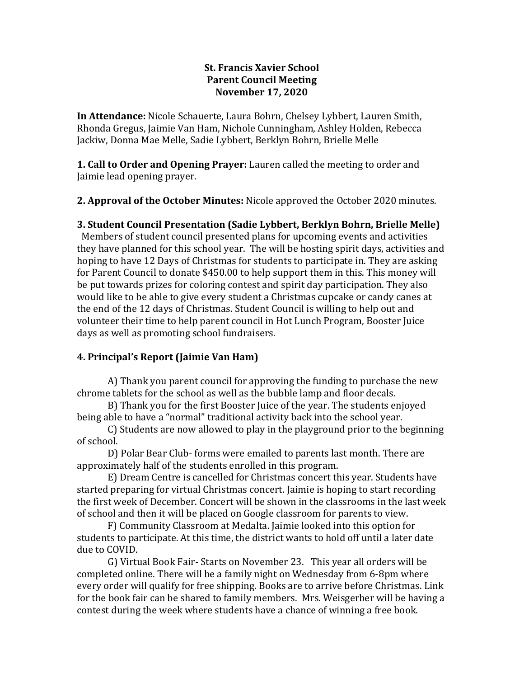#### **St. Francis Xavier School Parent Council Meeting November 17, 2020**

**In Attendance:** Nicole Schauerte, Laura Bohrn, Chelsey Lybbert, Lauren Smith, Rhonda Gregus, Jaimie Van Ham, Nichole Cunningham, Ashley Holden, Rebecca Jackiw, Donna Mae Melle, Sadie Lybbert, Berklyn Bohrn, Brielle Melle

**1. Call to Order and Opening Prayer:** Lauren called the meeting to order and Jaimie lead opening prayer.

**2. Approval of the October Minutes:** Nicole approved the October 2020 minutes.

## **3. Student Council Presentation (Sadie Lybbert, Berklyn Bohrn, Brielle Melle)**

 Members of student council presented plans for upcoming events and activities they have planned for this school year. The will be hosting spirit days, activities and hoping to have 12 Days of Christmas for students to participate in. They are asking for Parent Council to donate \$450.00 to help support them in this. This money will be put towards prizes for coloring contest and spirit day participation. They also would like to be able to give every student a Christmas cupcake or candy canes at the end of the 12 days of Christmas. Student Council is willing to help out and volunteer their time to help parent council in Hot Lunch Program, Booster Juice days as well as promoting school fundraisers.

# **4. Principal's Report (Jaimie Van Ham)**

A) Thank you parent council for approving the funding to purchase the new chrome tablets for the school as well as the bubble lamp and floor decals.

B) Thank you for the first Booster Juice of the year. The students enjoyed being able to have a "normal" traditional activity back into the school year.

C) Students are now allowed to play in the playground prior to the beginning of school.

D) Polar Bear Club- forms were emailed to parents last month. There are approximately half of the students enrolled in this program.

E) Dream Centre is cancelled for Christmas concert this year. Students have started preparing for virtual Christmas concert. Jaimie is hoping to start recording the first week of December. Concert will be shown in the classrooms in the last week of school and then it will be placed on Google classroom for parents to view.

F) Community Classroom at Medalta. Jaimie looked into this option for students to participate. At this time, the district wants to hold off until a later date due to COVID.

G) Virtual Book Fair- Starts on November 23. This year all orders will be completed online. There will be a family night on Wednesday from 6-8pm where every order will qualify for free shipping. Books are to arrive before Christmas. Link for the book fair can be shared to family members. Mrs. Weisgerber will be having a contest during the week where students have a chance of winning a free book.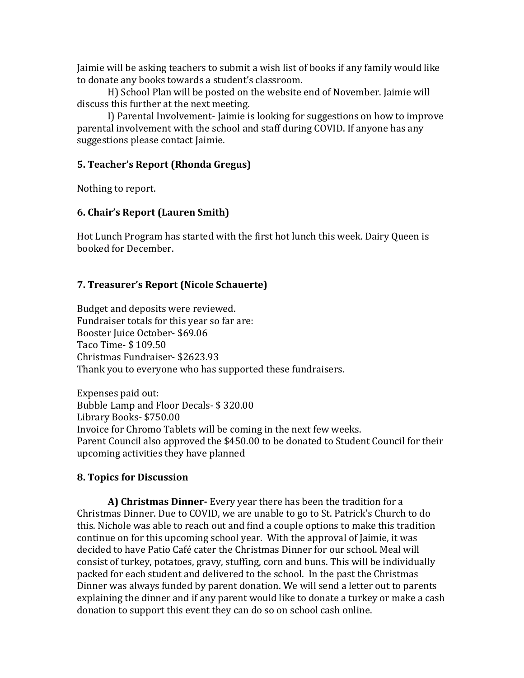Jaimie will be asking teachers to submit a wish list of books if any family would like to donate any books towards a student's classroom.

H) School Plan will be posted on the website end of November. Jaimie will discuss this further at the next meeting.

I) Parental Involvement- Jaimie is looking for suggestions on how to improve parental involvement with the school and staff during COVID. If anyone has any suggestions please contact Jaimie.

## **5. Teacher's Report (Rhonda Gregus)**

Nothing to report.

#### **6. Chair's Report (Lauren Smith)**

Hot Lunch Program has started with the first hot lunch this week. Dairy Queen is booked for December.

## **7. Treasurer's Report (Nicole Schauerte)**

Budget and deposits were reviewed. Fundraiser totals for this year so far are: Booster Juice October- \$69.06 Taco Time- \$ 109.50 Christmas Fundraiser- \$2623.93 Thank you to everyone who has supported these fundraisers.

Expenses paid out: Bubble Lamp and Floor Decals- \$ 320.00 Library Books- \$750.00 Invoice for Chromo Tablets will be coming in the next few weeks. Parent Council also approved the \$450.00 to be donated to Student Council for their upcoming activities they have planned

# **8. Topics for Discussion**

**A) Christmas Dinner-** Every year there has been the tradition for a Christmas Dinner. Due to COVID, we are unable to go to St. Patrick's Church to do this. Nichole was able to reach out and find a couple options to make this tradition continue on for this upcoming school year. With the approval of Jaimie, it was decided to have Patio Café cater the Christmas Dinner for our school. Meal will consist of turkey, potatoes, gravy, stuffing, corn and buns. This will be individually packed for each student and delivered to the school. In the past the Christmas Dinner was always funded by parent donation. We will send a letter out to parents explaining the dinner and if any parent would like to donate a turkey or make a cash donation to support this event they can do so on school cash online.